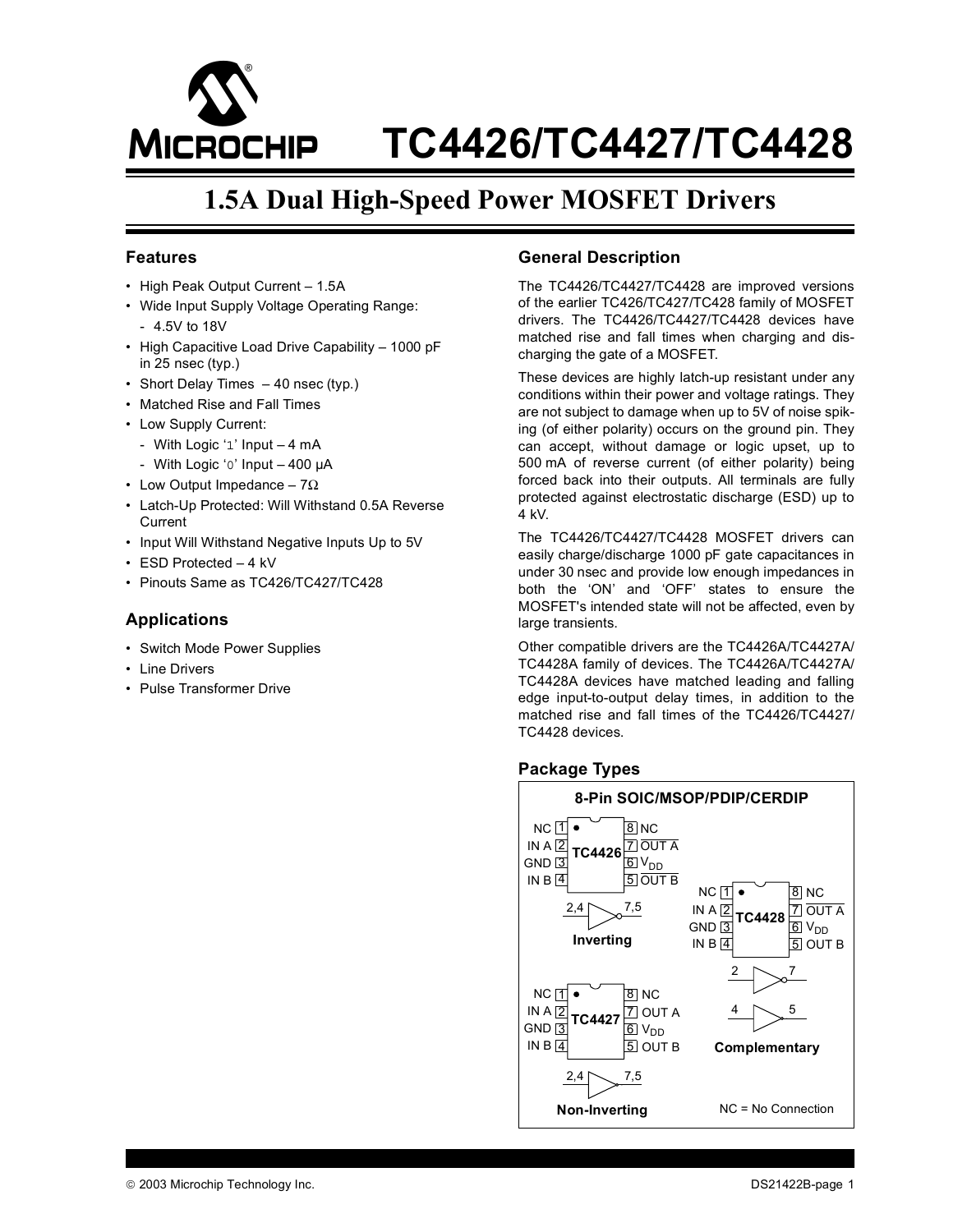

# **1.5A Dual High-Speed Power MOSFET Drivers**

### **Features**

- High Peak Output Current 1.5A
- Wide Input Supply Voltage Operating Range: - 4.5V to 18V
- High Capacitive Load Drive Capability 1000 pF in 25 nsec (typ.)
- Short Delay Times 40 nsec (typ.)
- Matched Rise and Fall Times
- Low Supply Current:
	- With Logic '1' Input 4 mA
- With Logic '0' Input 400 µA
- Low Output Impedance  $7\Omega$
- Latch-Up Protected: Will Withstand 0.5A Reverse **Current**
- Input Will Withstand Negative Inputs Up to 5V
- ESD Protected 4 kV
- Pinouts Same as TC426/TC427/TC428

### **Applications**

- Switch Mode Power Supplies
- Line Drivers
- Pulse Transformer Drive

## **General Description**

The TC4426/TC4427/TC4428 are improved versions of the earlier TC426/TC427/TC428 family of MOSFET drivers. The TC4426/TC4427/TC4428 devices have matched rise and fall times when charging and discharging the gate of a MOSFET.

These devices are highly latch-up resistant under any conditions within their power and voltage ratings. They are not subject to damage when up to 5V of noise spiking (of either polarity) occurs on the ground pin. They can accept, without damage or logic upset, up to 500 mA of reverse current (of either polarity) being forced back into their outputs. All terminals are fully protected against electrostatic discharge (ESD) up to 4 kV.

The TC4426/TC4427/TC4428 MOSFET drivers can easily charge/discharge 1000 pF gate capacitances in under 30 nsec and provide low enough impedances in both the 'ON' and 'OFF' states to ensure the MOSFET's intended state will not be affected, even by large transients.

Other compatible drivers are the TC4426A/TC4427A/ TC4428A family of devices. The TC4426A/TC4427A/ TC4428A devices have matched leading and falling edge input-to-output delay times, in addition to the matched rise and fall times of the TC4426/TC4427/ TC4428 devices.

### **Package Types**

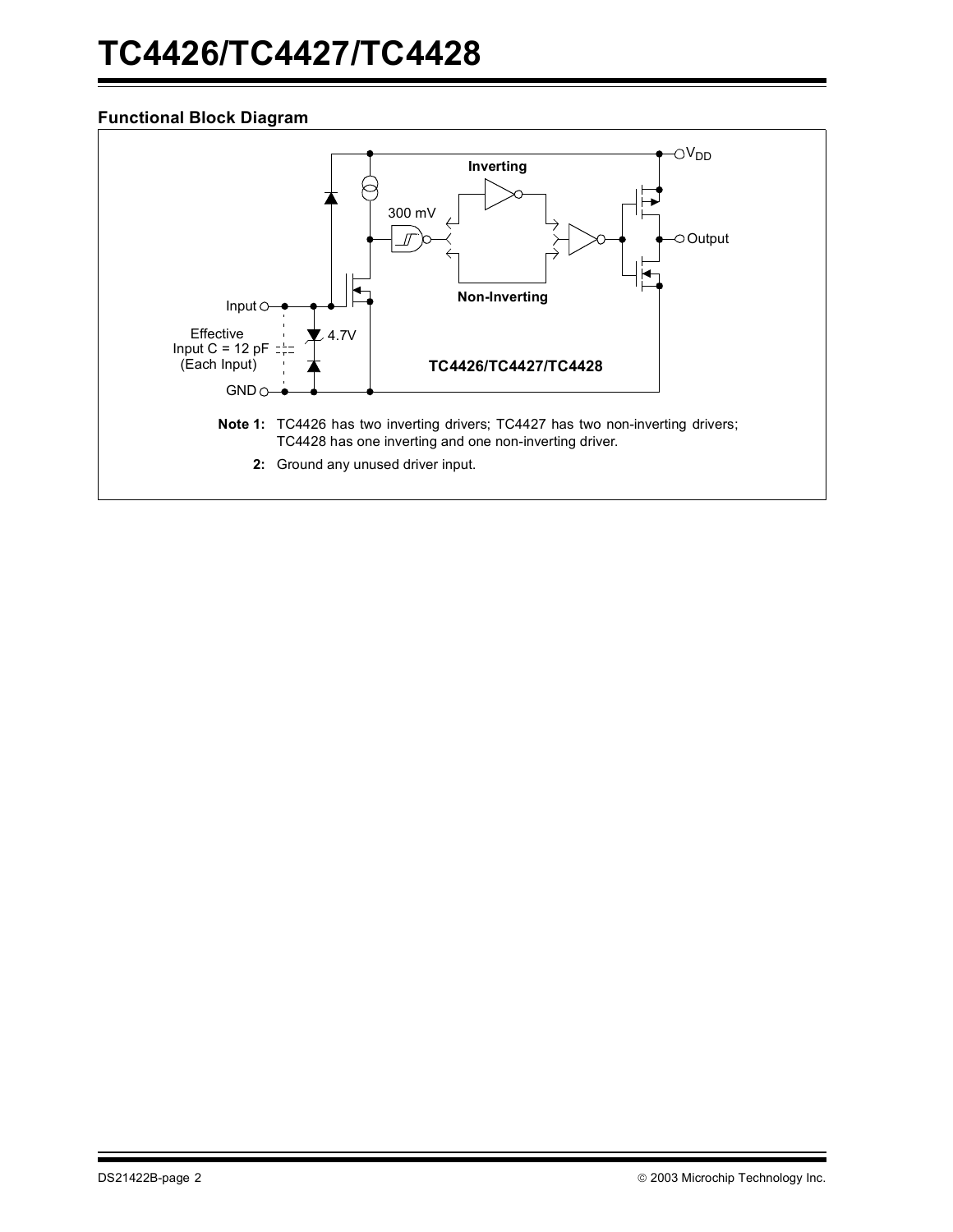## **Functional Block Diagram**

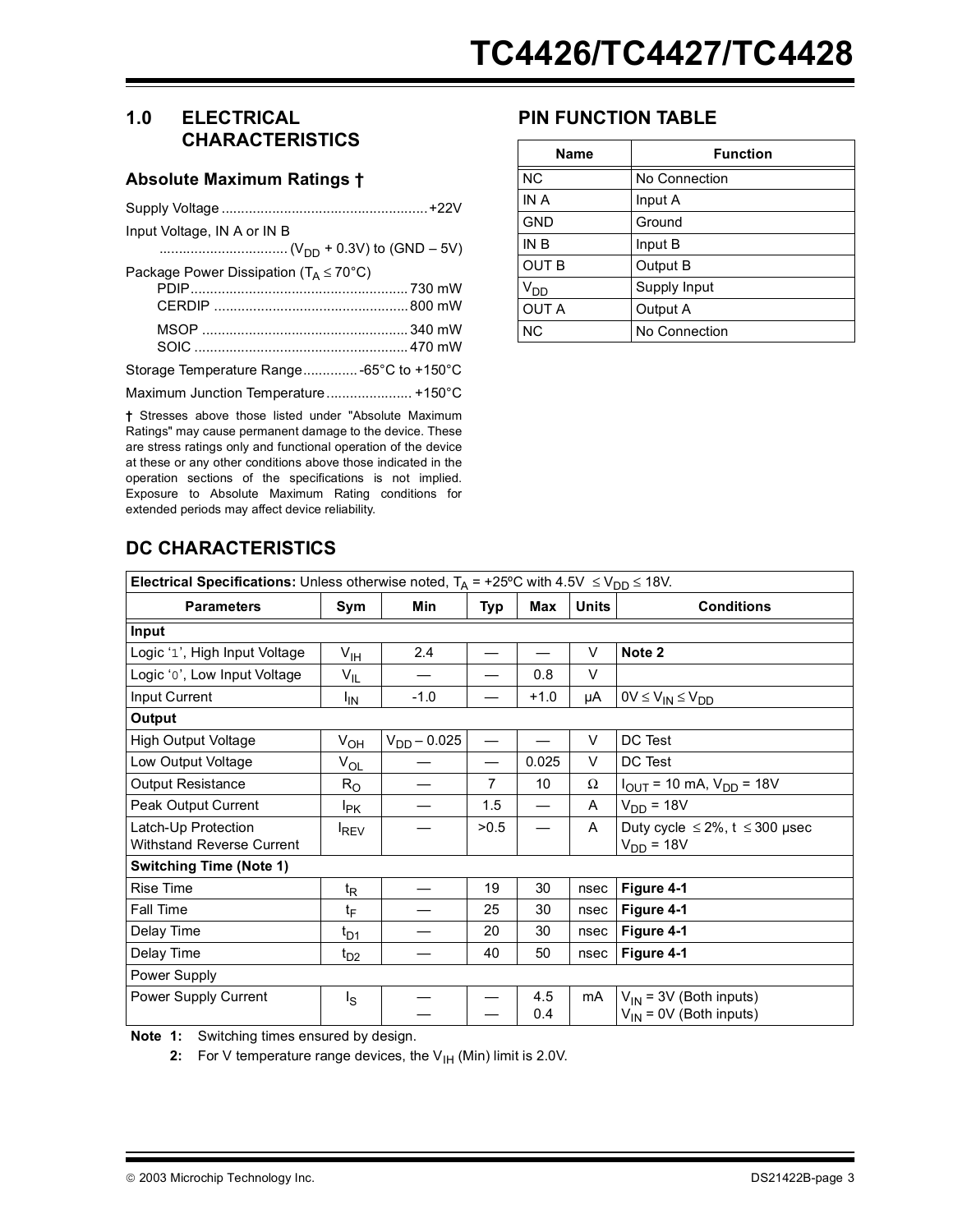## **1.0 ELECTRICAL CHARACTERISTICS**

### **Absolute Maximum Ratings †**

| Input Voltage, IN A or IN B                           |
|-------------------------------------------------------|
|                                                       |
| Package Power Dissipation ( $T_A \leq 70^{\circ}$ C)  |
|                                                       |
| Storage Temperature Range -65°C to +150°C             |
|                                                       |
| + Strasses above those listed under "Absolute Maximum |

s above those listed under "Absolute Maximum Ratings" may cause permanent damage to the device. These are stress ratings only and functional operation of the device at these or any other conditions above those indicated in the operation sections of the specifications is not implied. Exposure to Absolute Maximum Rating conditions for extended periods may affect device reliability.

## **PIN FUNCTION TABLE**

| Name                 | <b>Function</b> |  |  |  |
|----------------------|-----------------|--|--|--|
| <b>NC</b>            | No Connection   |  |  |  |
| IN A                 | Input A         |  |  |  |
| <b>GND</b>           | Ground          |  |  |  |
| IN B                 | Input B         |  |  |  |
| <b>OUT B</b>         | Output B        |  |  |  |
| $V_{D\underline{D}}$ | Supply Input    |  |  |  |
| <b>OUT A</b>         | Output A        |  |  |  |
| <b>NC</b>            | No Connection   |  |  |  |

# **DC CHARACTERISTICS**

| Electrical Specifications: Unless otherwise noted, $T_A$ = +25°C with 4.5V $\leq$ V <sub>DD</sub> $\leq$ 18V.                                     |                      |                  |                |        |              |                                                             |  |  |
|---------------------------------------------------------------------------------------------------------------------------------------------------|----------------------|------------------|----------------|--------|--------------|-------------------------------------------------------------|--|--|
| <b>Parameters</b>                                                                                                                                 | Sym                  | Min              | Typ            | Max    | <b>Units</b> | <b>Conditions</b>                                           |  |  |
| Input                                                                                                                                             |                      |                  |                |        |              |                                                             |  |  |
| Logic '1', High Input Voltage                                                                                                                     | $V_{\text{IH}}$      | 2.4              |                |        | V            | Note 2                                                      |  |  |
| Logic 'o', Low Input Voltage                                                                                                                      | $V_{IL}$             |                  |                | 0.8    | V            |                                                             |  |  |
| Input Current                                                                                                                                     | <sup>I</sup> IN      | $-1.0$           |                | $+1.0$ | μA           | $0V \leq V_{IN} \leq V_{DD}$                                |  |  |
| Output                                                                                                                                            |                      |                  |                |        |              |                                                             |  |  |
| <b>High Output Voltage</b>                                                                                                                        | $V_{OH}$             | $V_{DD} - 0.025$ |                |        | V            | DC Test                                                     |  |  |
| Low Output Voltage                                                                                                                                | $V_{OL}$             |                  | —              | 0.025  | V            | DC Test                                                     |  |  |
| Output Resistance                                                                                                                                 | $R_{\rm O}$          |                  | $\overline{7}$ | 10     | Ω            | $I_{\text{OUT}}$ = 10 mA, $V_{\text{DD}}$ = 18V             |  |  |
| Peak Output Current                                                                                                                               | <b>I</b> PK          |                  | 1.5            |        | A            | $VDD = 18V$                                                 |  |  |
| Latch-Up Protection<br>Withstand Reverse Current                                                                                                  | <b>IREV</b>          |                  | >0.5           |        | A            | Duty cycle $\leq 2\%$ , t $\leq 300$ µsec<br>$V_{DD}$ = 18V |  |  |
| <b>Switching Time (Note 1)</b>                                                                                                                    |                      |                  |                |        |              |                                                             |  |  |
| Rise Time                                                                                                                                         | $t_{\mathsf{R}}$     |                  | 19             | 30     | nsec         | Figure 4-1                                                  |  |  |
| Fall Time                                                                                                                                         | t <sub>F</sub>       |                  | 25             | 30     | nsec         | Figure 4-1                                                  |  |  |
| Delay Time                                                                                                                                        | $t_{\mathsf{D1}}$    |                  | 20             | 30     | nsec         | Figure 4-1                                                  |  |  |
| Delay Time                                                                                                                                        | $t_{D2}$             |                  | 40             | 50     | nsec         | Figure 4-1                                                  |  |  |
| Power Supply                                                                                                                                      |                      |                  |                |        |              |                                                             |  |  |
| Power Supply Current                                                                                                                              | $I_{\rm S}$          |                  |                | 4.5    | mA           | $V_{IN}$ = 3V (Both inputs)                                 |  |  |
| $\mathbf{M} = \mathbf{A}$ and $\mathbf{A} = \mathbf{A}$ and $\mathbf{A} = \mathbf{A}$ and $\mathbf{A} = \mathbf{A}$ and $\mathbf{A} = \mathbf{A}$ | والأستراط والمساويات |                  |                | 0.4    |              | $V_{IN}$ = 0V (Both inputs)                                 |  |  |

<span id="page-2-1"></span><span id="page-2-0"></span>**Note 1:** Switching times ensured by design.

**2:** For V temperature range devices, the  $V_{H}$  (Min) limit is 2.0V.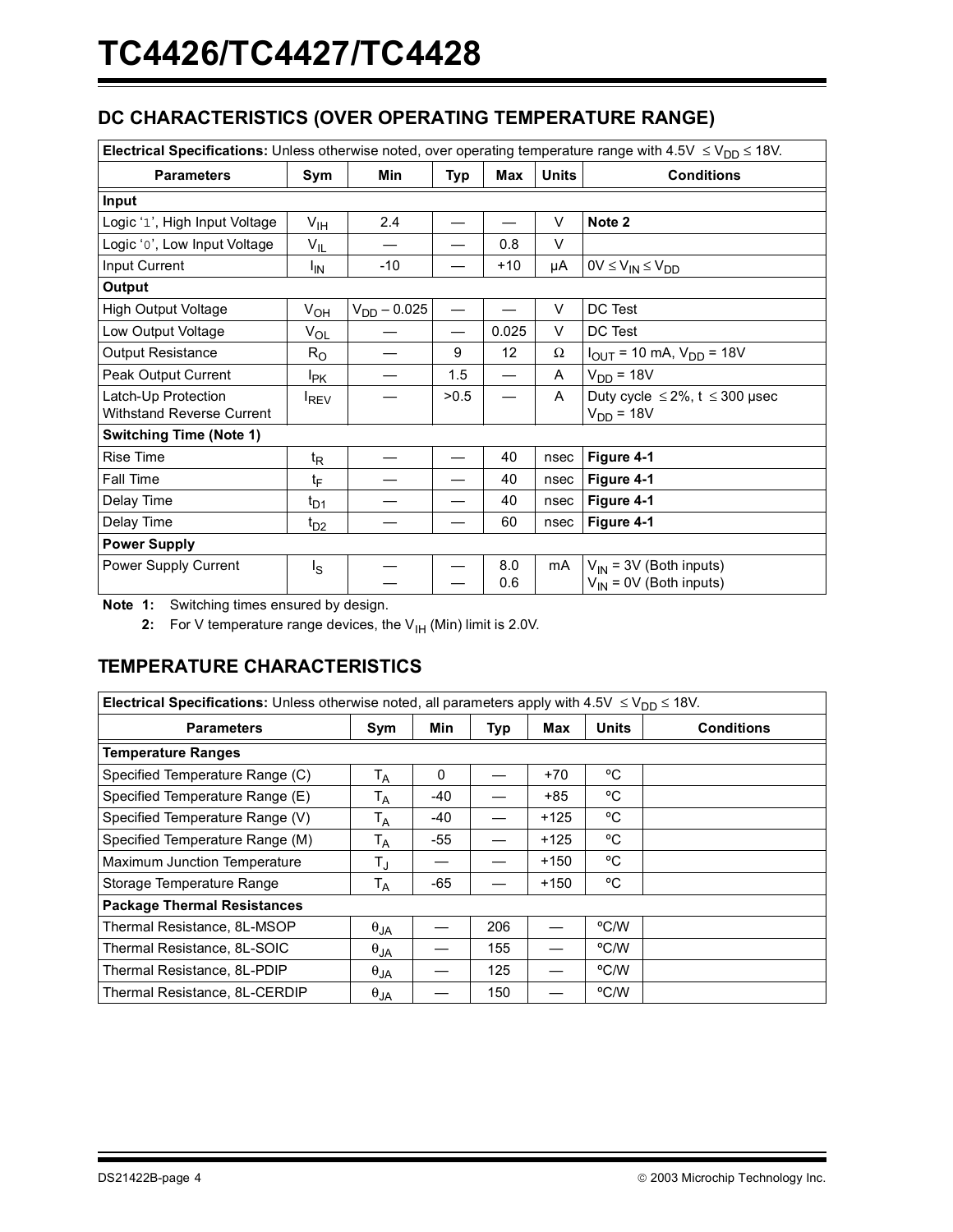# **DC CHARACTERISTICS (OVER OPERATING TEMPERATURE RANGE)**

| Electrical Specifications: Unless otherwise noted, over operating temperature range with 4.5V $\leq$ V <sub>DD</sub> $\leq$ 18V. |                  |                  |            |       |              |                                                             |  |
|----------------------------------------------------------------------------------------------------------------------------------|------------------|------------------|------------|-------|--------------|-------------------------------------------------------------|--|
| <b>Parameters</b>                                                                                                                | Sym              | Min              | <b>Typ</b> | Max   | <b>Units</b> | <b>Conditions</b>                                           |  |
| Input                                                                                                                            |                  |                  |            |       |              |                                                             |  |
| Logic '1', High Input Voltage                                                                                                    | $V_{\text{IH}}$  | 2.4              |            |       | $\vee$       | Note 2                                                      |  |
| Logic 'o', Low Input Voltage                                                                                                     | $V_{IL}$         |                  |            | 0.8   | V            |                                                             |  |
| Input Current                                                                                                                    | <sup>I</sup> IN  | $-10$            |            | $+10$ | μA           | $0V \leq V_{IN} \leq V_{DD}$                                |  |
| Output                                                                                                                           |                  |                  |            |       |              |                                                             |  |
| <b>High Output Voltage</b>                                                                                                       | $V_{OH}$         | $V_{DD} - 0.025$ |            |       | V            | DC Test                                                     |  |
| Low Output Voltage                                                                                                               | $V_{OL}$         |                  |            | 0.025 | V            | DC Test                                                     |  |
| Output Resistance                                                                                                                | $R_{\rm O}$      |                  | 9          | 12    | Ω            | $I_{\text{OUT}}$ = 10 mA, $V_{\text{DD}}$ = 18V             |  |
| Peak Output Current                                                                                                              | l <sub>PK</sub>  |                  | 1.5        |       | A            | $V_{DD}$ = 18V                                              |  |
| Latch-Up Protection<br><b>Withstand Reverse Current</b>                                                                          | <b>IREV</b>      |                  | >0.5       |       | A            | Duty cycle $\leq 2\%$ , t $\leq 300$ µsec<br>$V_{DD}$ = 18V |  |
| <b>Switching Time (Note 1)</b>                                                                                                   |                  |                  |            |       |              |                                                             |  |
| <b>Rise Time</b>                                                                                                                 | $t_{\mathsf{R}}$ |                  |            | 40    | nsec         | Figure 4-1                                                  |  |
| Fall Time                                                                                                                        | t <sub>F</sub>   |                  |            | 40    | nsec         | Figure 4-1                                                  |  |
| Delay Time                                                                                                                       | $t_{D1}$         |                  |            | 40    | nsec         | Figure 4-1                                                  |  |
| Delay Time                                                                                                                       | $t_{D2}$         |                  |            | 60    | nsec         | Figure 4-1                                                  |  |
| <b>Power Supply</b>                                                                                                              |                  |                  |            |       |              |                                                             |  |
| Power Supply Current                                                                                                             | $I_{\rm S}$      |                  |            | 8.0   | mA           | $V_{IN}$ = 3V (Both inputs)                                 |  |
|                                                                                                                                  |                  |                  |            | 0.6   |              | $V_{IN}$ = 0V (Both inputs)                                 |  |

<span id="page-3-1"></span><span id="page-3-0"></span>**Note 1:** Switching times ensured by design.

**2:** For V temperature range devices, the  $V_{\text{IH}}$  (Min) limit is 2.0V.

# **TEMPERATURE CHARACTERISTICS**

| Electrical Specifications: Unless otherwise noted, all parameters apply with $4.5V \le V_{DD} \le 18V$ . |                         |       |     |        |              |                   |
|----------------------------------------------------------------------------------------------------------|-------------------------|-------|-----|--------|--------------|-------------------|
| <b>Parameters</b>                                                                                        | Sym                     | Min   | Typ | Max    | <b>Units</b> | <b>Conditions</b> |
| <b>Temperature Ranges</b>                                                                                |                         |       |     |        |              |                   |
| Specified Temperature Range (C)                                                                          | $\mathsf{T}_\mathsf{A}$ | 0     |     | +70    | °C           |                   |
| Specified Temperature Range (E)                                                                          | T <sub>A</sub>          | $-40$ |     | +85    | °C           |                   |
| Specified Temperature Range (V)                                                                          | Т <sub>А</sub>          | -40   |     | $+125$ | °C           |                   |
| Specified Temperature Range (M)                                                                          | Т <sub>А</sub>          | -55   |     | $+125$ | °C           |                   |
| Maximum Junction Temperature                                                                             | T,                      |       |     | $+150$ | °C           |                   |
| Storage Temperature Range                                                                                | T <sub>A</sub>          | -65   |     | $+150$ | °C           |                   |
| <b>Package Thermal Resistances</b>                                                                       |                         |       |     |        |              |                   |
| Thermal Resistance, 8L-MSOP                                                                              | $\theta_{JA}$           |       | 206 |        | °C/W         |                   |
| Thermal Resistance, 8L-SOIC                                                                              | $\theta_{JA}$           |       | 155 |        | °C/W         |                   |
| Thermal Resistance, 8L-PDIP                                                                              | $\theta_{JA}$           |       | 125 |        | °C/W         |                   |
| Thermal Resistance, 8L-CERDIP                                                                            | $\theta_{JA}$           |       | 150 |        | °C/W         |                   |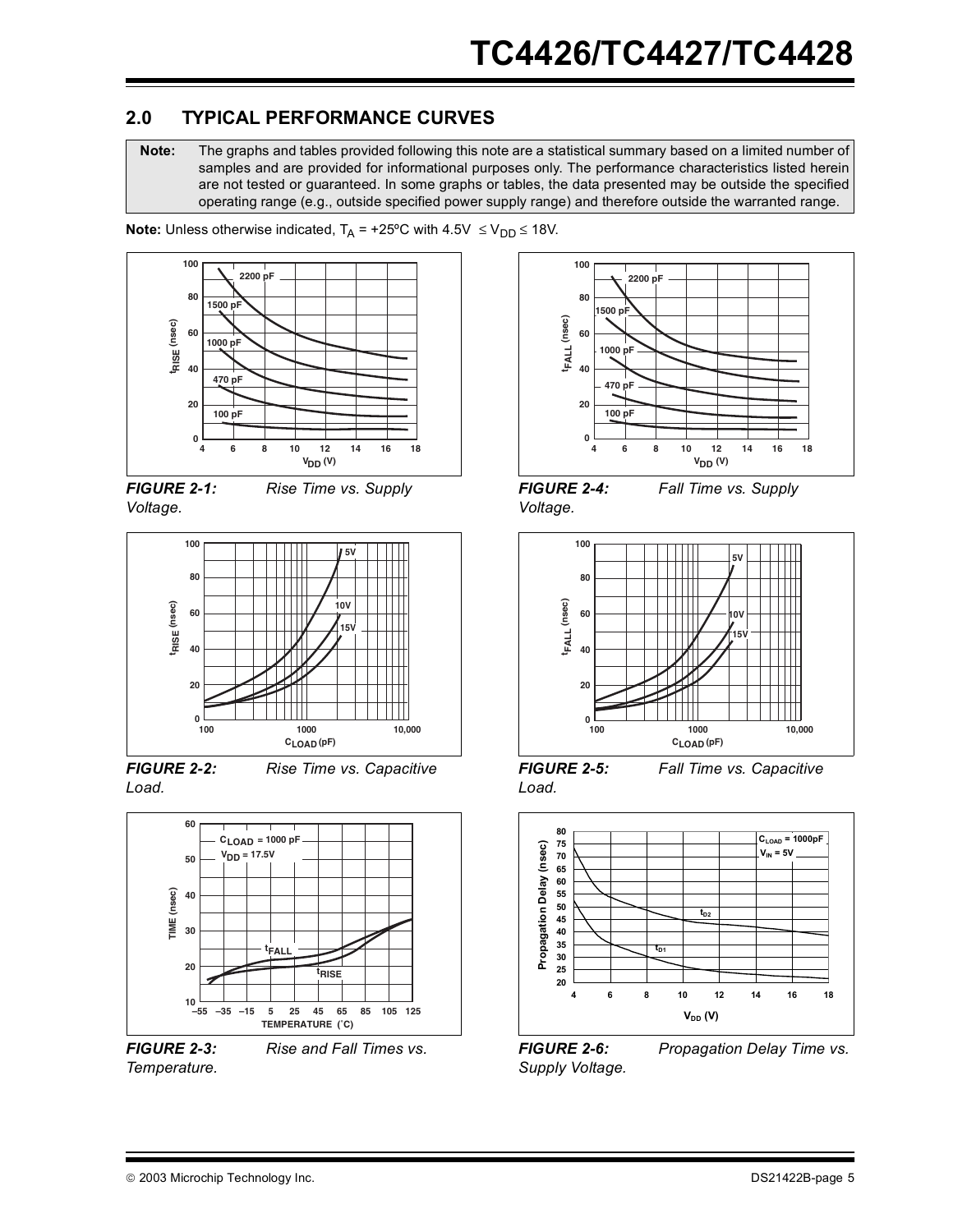## **2.0 TYPICAL PERFORMANCE CURVES**

**Note:** The graphs and tables provided following this note are a statistical summary based on a limited number of samples and are provided for informational purposes only. The performance characteristics listed herein are not tested or guaranteed. In some graphs or tables, the data presented may be outside the specified operating range (e.g., outside specified power supply range) and therefore outside the warranted range.

**Note:** Unless otherwise indicated,  $T_A = +25^{\circ}C$  with  $4.5V \le V_{DD} \le 18V$ .



*FIGURE 2-1: Rise Time vs. Supply Voltage.*



*FIGURE 2-2: Rise Time vs. Capacitive Load.*



*FIGURE 2-3: Rise and Fall Times vs. Temperature.*



*FIGURE 2-4: Fall Time vs. Supply Voltage.*



*FIGURE 2-5: Fall Time vs. Capacitive Load.*



*Supply Voltage.*

*FIGURE 2-6: Propagation Delay Time vs.*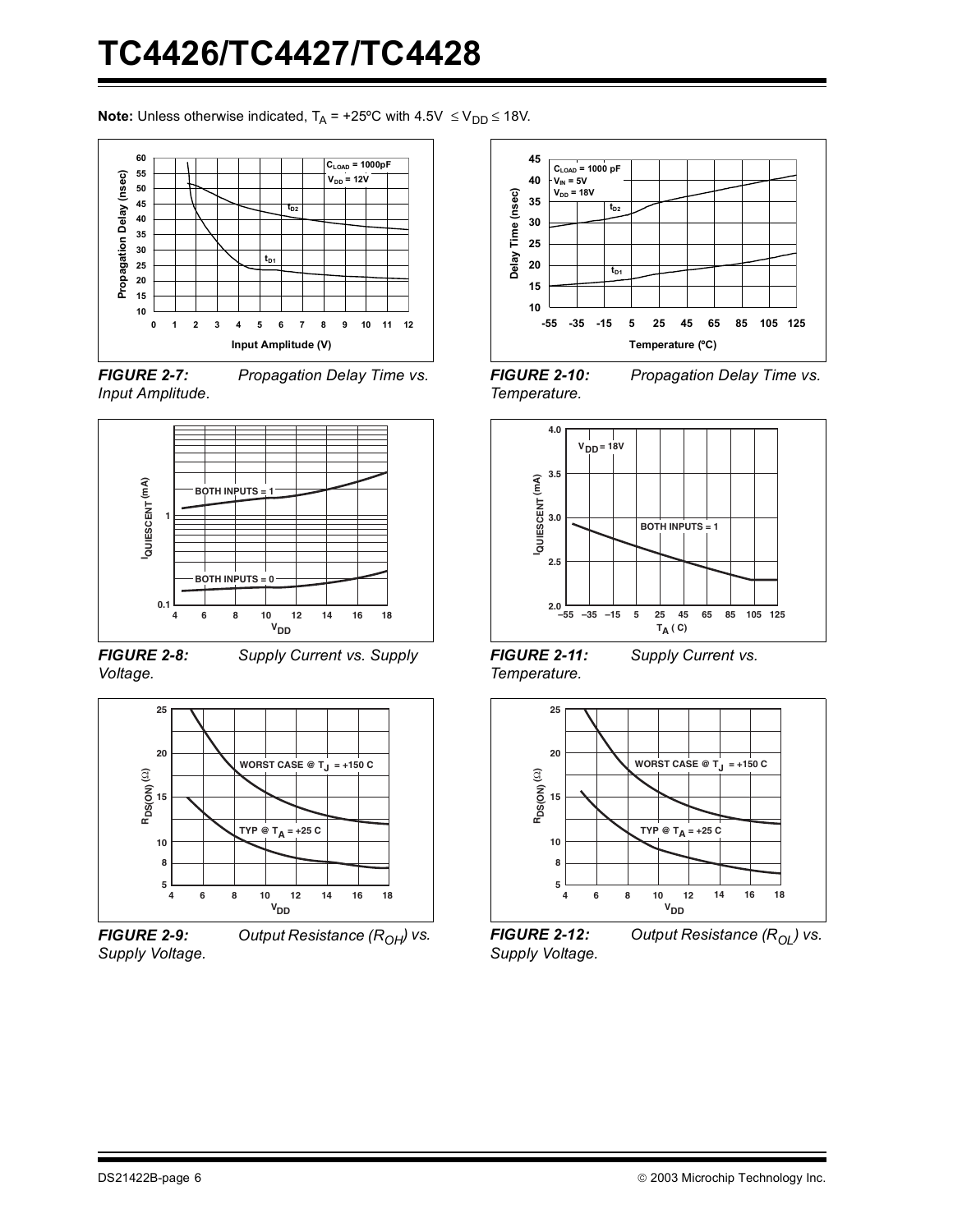**Note:** Unless otherwise indicated,  $T_A = +25^{\circ}C$  with  $4.5V \le V_{DD} \le 18V$ .



*FIGURE 2-7: Propagation Delay Time vs. Input Amplitude.*



*FIGURE 2-8: Supply Current vs. Supply Voltage.*



*Supply Voltage.*





*FIGURE 2-10: Propagation Delay Time vs. Temperature.*



*FIGURE 2-11: Supply Current vs. Temperature.*



*FIGURE 2-12: Output Resistance (R<sub>OL</sub>) vs. Supply Voltage.*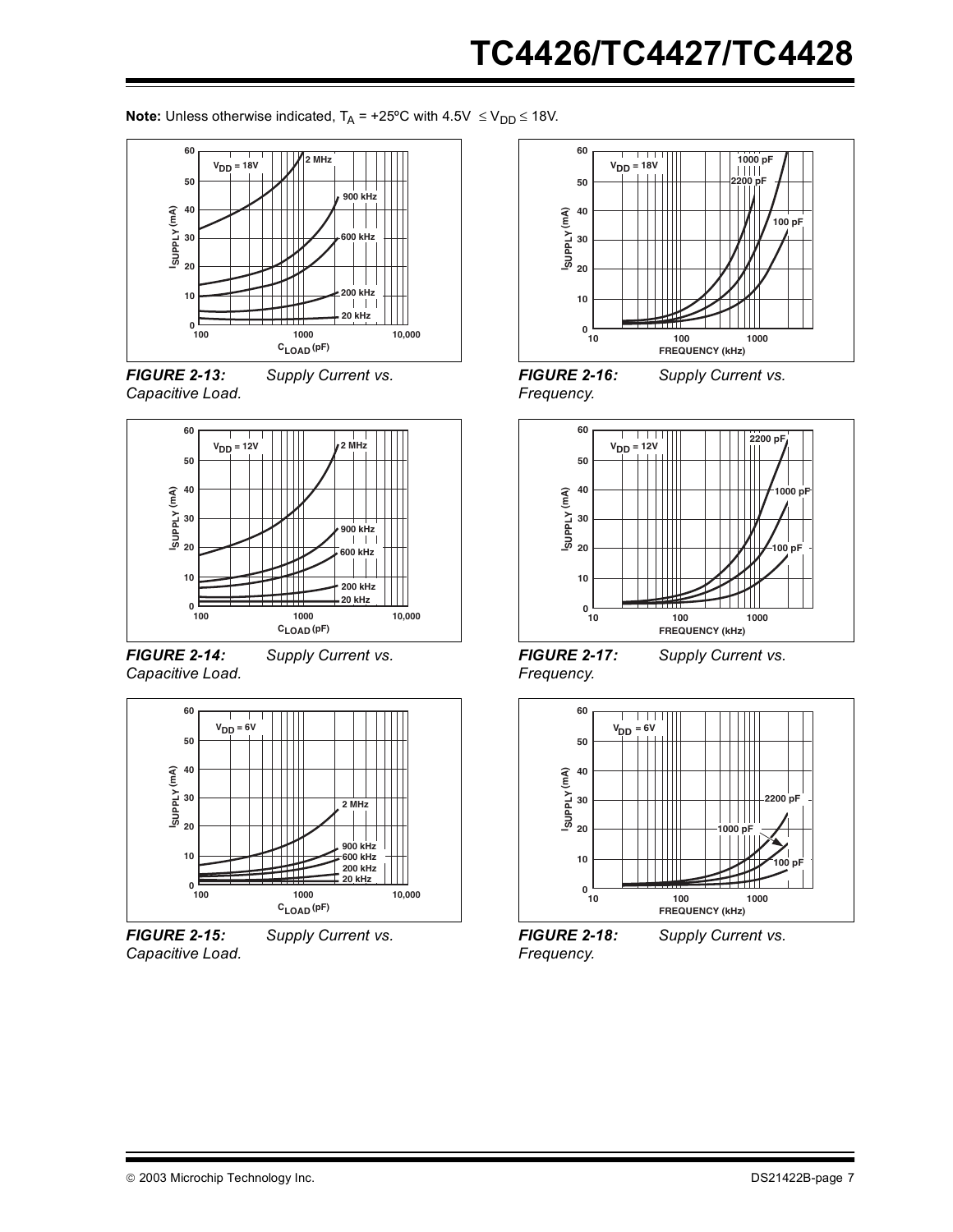**Note:** Unless otherwise indicated,  $T_A = +25^{\circ}C$  with  $4.5V \le V_{DD} \le 18V$ .







*FIGURE 2-14: Supply Current vs. Capacitive Load.*



*FIGURE 2-15: Supply Current vs. Capacitive Load.*



*Frequency.*





*FIGURE 2-17: Supply Current vs. Frequency.*



*FIGURE 2-18: Supply Current vs. Frequency.*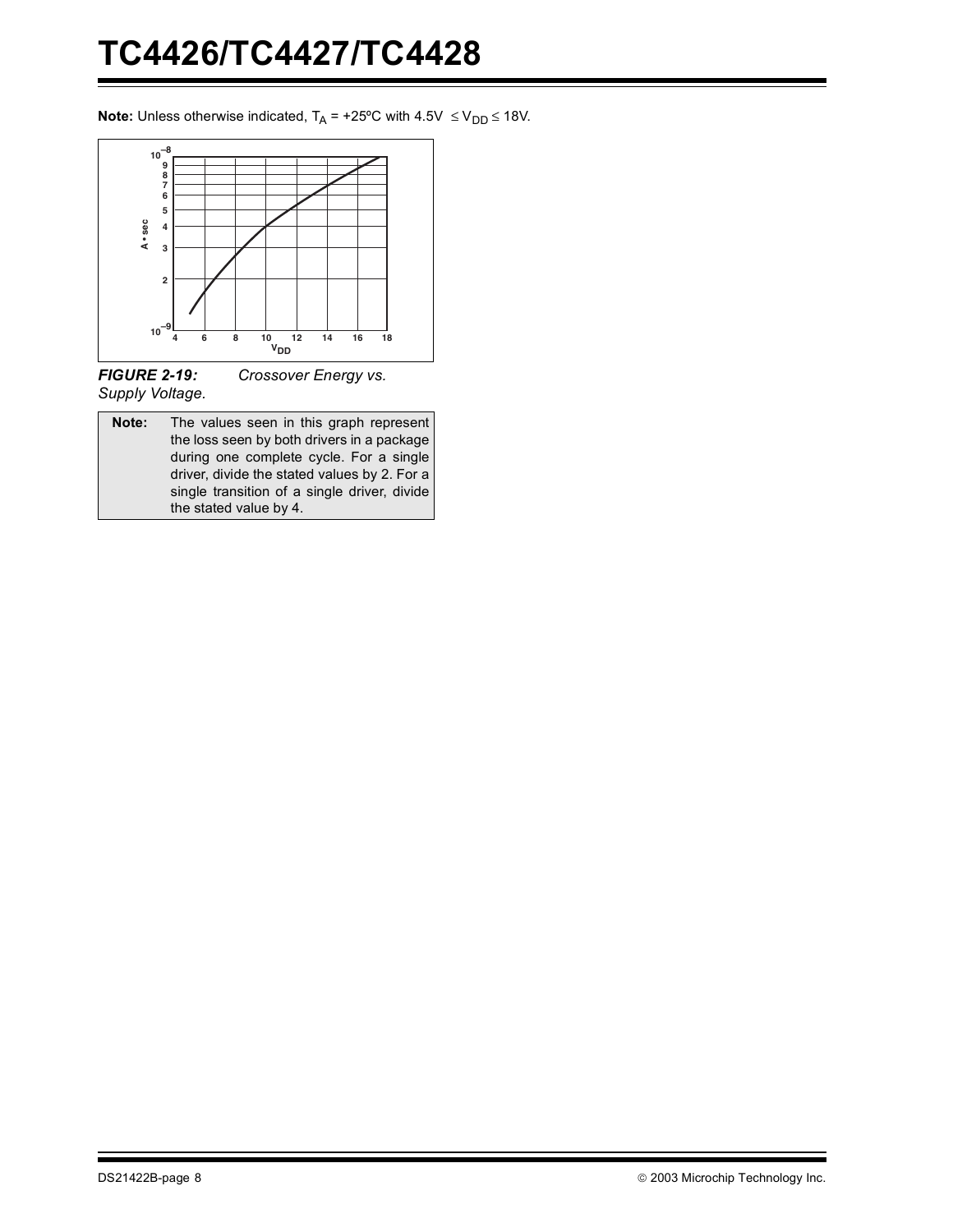**Note:** Unless otherwise indicated,  $T_A = +25^{\circ}C$  with  $4.5V \le V_{DD} \le 18V$ .



*FIGURE 2-19: Crossover Energy vs. Supply Voltage.*

**Note:** The values seen in this graph represent the loss seen by both drivers in a package during one complete cycle. For a single driver, divide the stated values by 2. For a single transition of a single driver, divide the stated value by 4.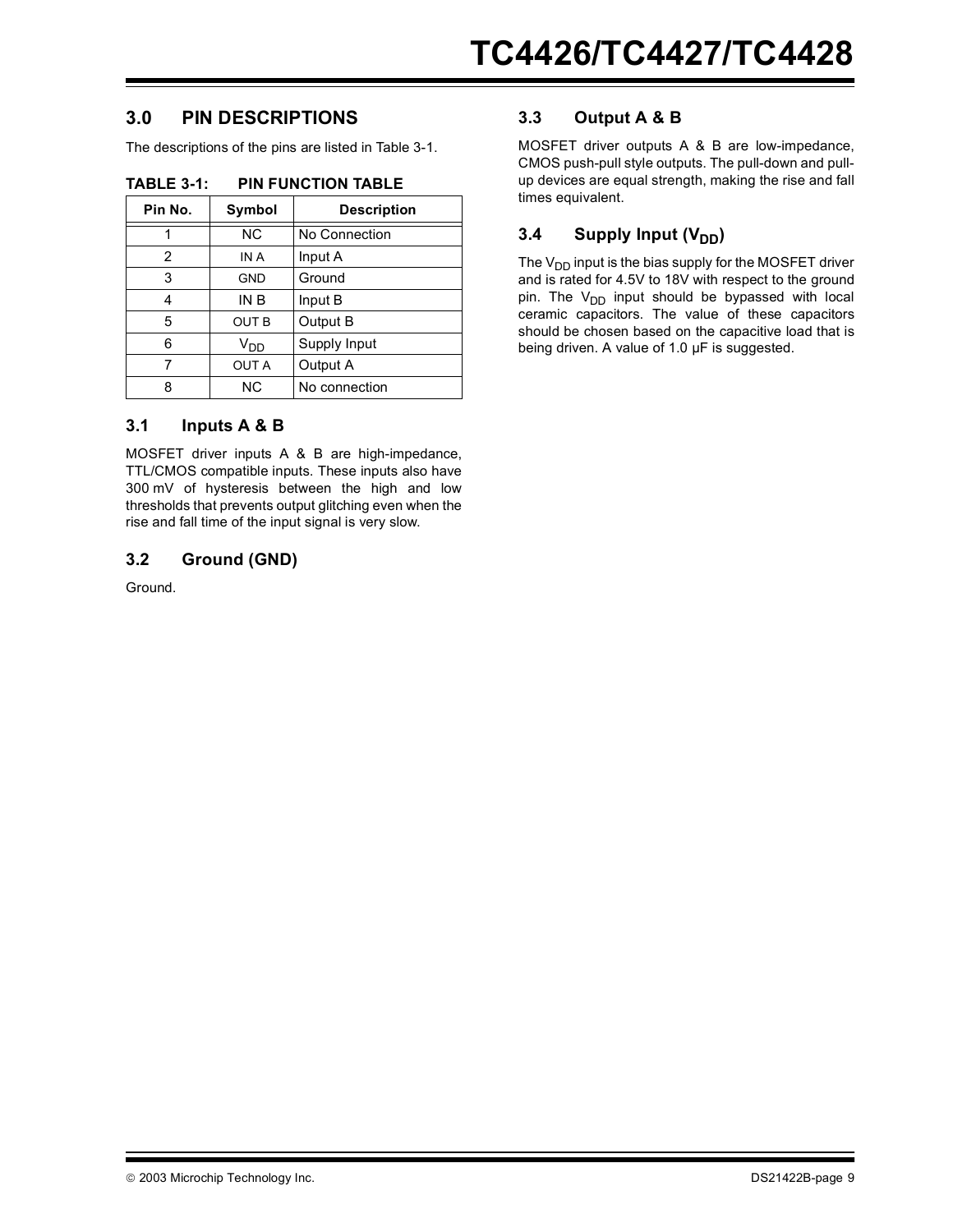## **3.0 PIN DESCRIPTIONS**

The descriptions of the pins are listed in [Table 3-1.](#page-8-0)

| Symbol          | <b>Description</b> |
|-----------------|--------------------|
| ΝC              | No Connection      |
| IN A            | Input A            |
| <b>GND</b>      | Ground             |
| IN B            | Input B            |
| <b>OUT B</b>    | Output B           |
| V <sub>DD</sub> | Supply Input       |
| <b>OUT A</b>    | Output A           |
| ΝC              | No connection      |
|                 |                    |

### <span id="page-8-0"></span>**TABLE 3-1: PIN FUNCTION TABLE**

### **3.1 Inputs A & B**

MOSFET driver inputs A & B are high-impedance, TTL/CMOS compatible inputs. These inputs also have 300 mV of hysteresis between the high and low thresholds that prevents output glitching even when the rise and fall time of the input signal is very slow.

### **3.2 Ground (GND)**

Ground.

## **3.3 Output A & B**

MOSFET driver outputs A & B are low-impedance, CMOS push-pull style outputs. The pull-down and pullup devices are equal strength, making the rise and fall times equivalent.

## **3.4** Supply Input (V<sub>DD</sub>)

The  $V_{DD}$  input is the bias supply for the MOSFET driver and is rated for 4.5V to 18V with respect to the ground pin. The  $V_{DD}$  input should be bypassed with local ceramic capacitors. The value of these capacitors should be chosen based on the capacitive load that is being driven. A value of 1.0 µF is suggested.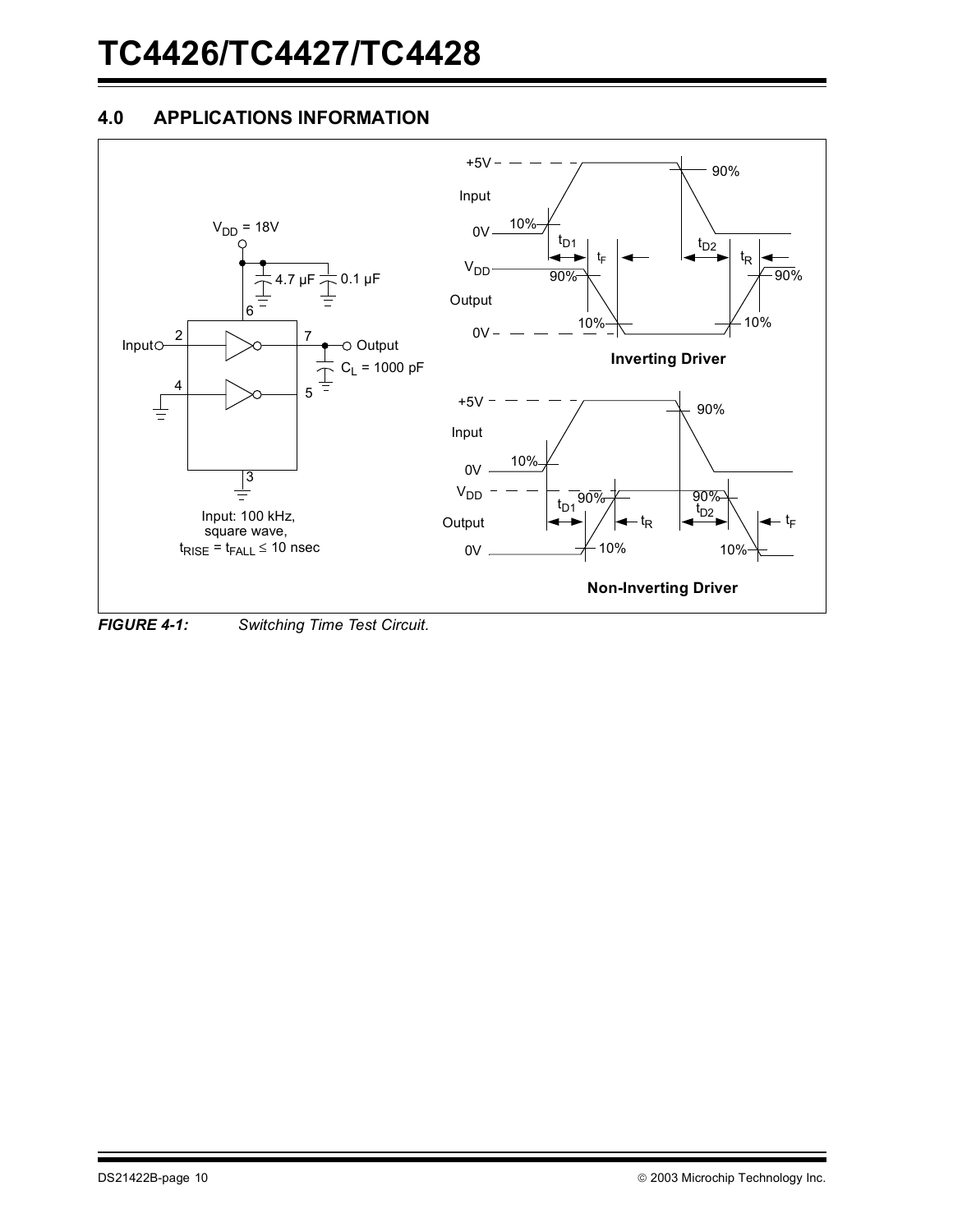## **4.0 APPLICATIONS INFORMATION**



<span id="page-9-0"></span>*FIGURE 4-1: Switching Time Test Circuit.*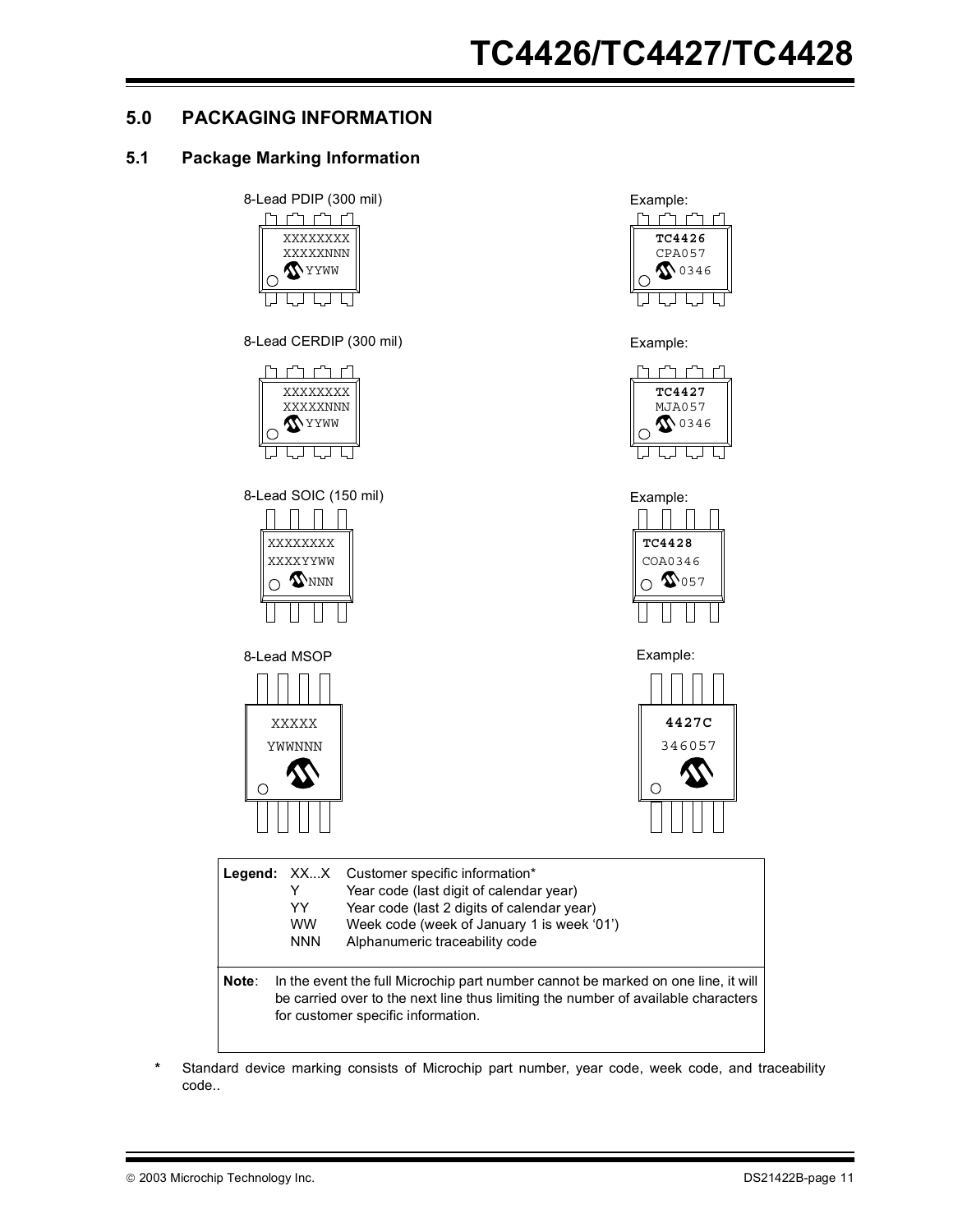## **5.0 PACKAGING INFORMATION**

## **5.1 Package Marking Information**



**\*** Standard device marking consists of Microchip part number, year code, week code, and traceability code..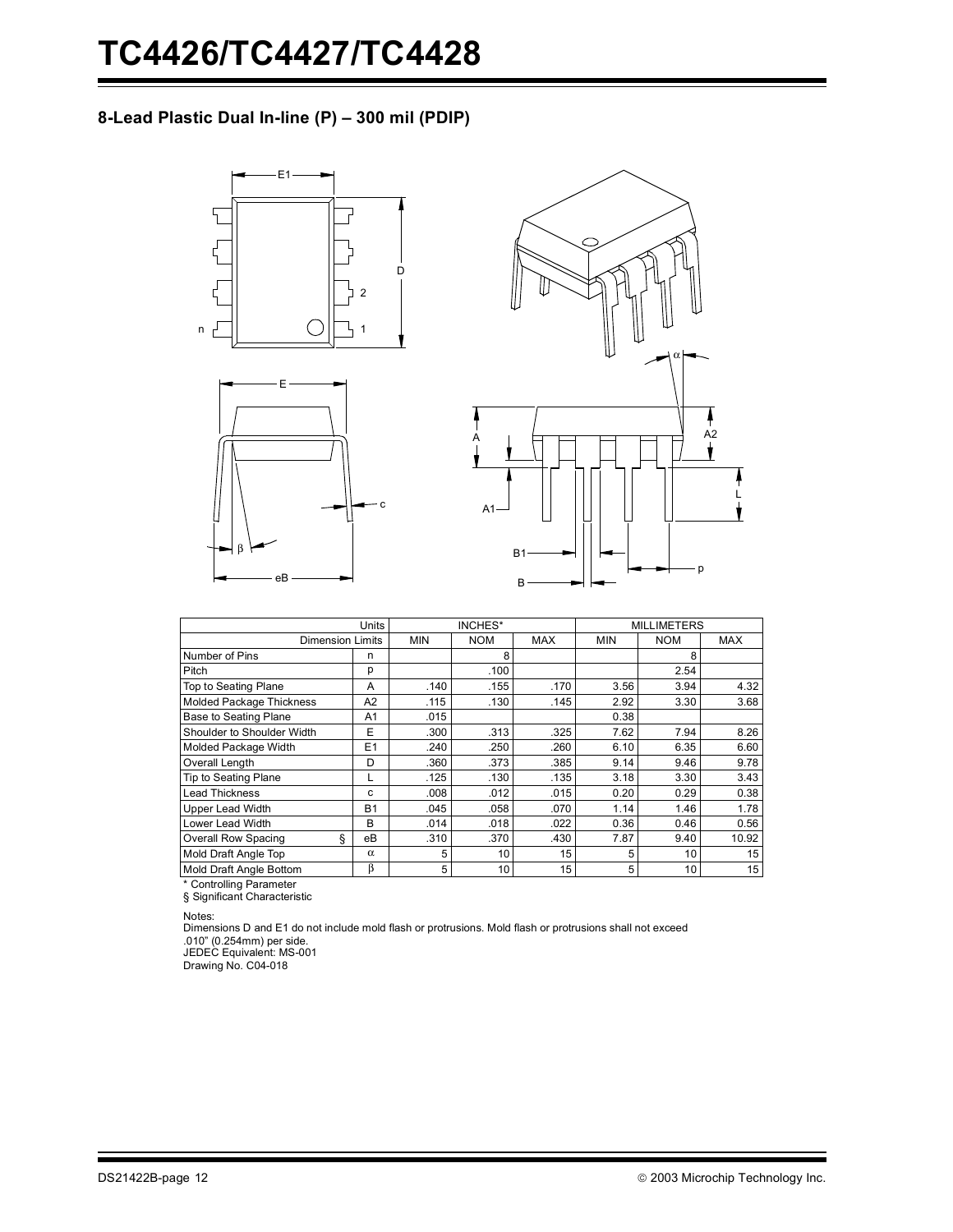## **8-Lead Plastic Dual In-line (P) – 300 mil (PDIP)**







|                                 | INCHES*        |            |            |            | <b>MILLIMETERS</b> |            |            |
|---------------------------------|----------------|------------|------------|------------|--------------------|------------|------------|
| <b>Dimension Limits</b>         |                | <b>MIN</b> | <b>NOM</b> | <b>MAX</b> | <b>MIN</b>         | <b>NOM</b> | <b>MAX</b> |
| Number of Pins                  | n              |            | 8          |            |                    | 8          |            |
| Pitch                           | р              |            | .100       |            |                    | 2.54       |            |
| Top to Seating Plane            | A              | .140       | .155       | .170       | 3.56               | 3.94       | 4.32       |
| Molded Package Thickness        | A <sub>2</sub> | .115       | .130       | .145       | 2.92               | 3.30       | 3.68       |
| Base to Seating Plane           | A1             | .015       |            |            | 0.38               |            |            |
| Shoulder to Shoulder Width      | E              | .300       | .313       | .325       | 7.62               | 7.94       | 8.26       |
| Molded Package Width            | E1             | .240       | .250       | .260       | 6.10               | 6.35       | 6.60       |
| Overall Length                  | D              | .360       | .373       | .385       | 9.14               | 9.46       | 9.78       |
| <b>Tip to Seating Plane</b>     |                | .125       | .130       | .135       | 3.18               | 3.30       | 3.43       |
| <b>Lead Thickness</b>           | c              | .008       | .012       | .015       | 0.20               | 0.29       | 0.38       |
| Upper Lead Width                | <b>B1</b>      | .045       | .058       | .070       | 1.14               | 1.46       | 1.78       |
| Lower Lead Width                | B              | .014       | .018       | .022       | 0.36               | 0.46       | 0.56       |
| ş<br><b>Overall Row Spacing</b> | eB             | .310       | .370       | .430       | 7.87               | 9.40       | 10.92      |
| Mold Draft Angle Top            | $\alpha$       | 5          | 10         | 15         | 5                  | 10         | 15         |
| Mold Draft Angle Bottom         | β              | 5          | 10         | 15         | 5                  | 10         | 15         |

\* Controlling Parameter § Significant Characteristic

Notes:

Dimensions D and E1 do not include mold flash or protrusions. Mold flash or protrusions shall not exceed .010" (0.254mm) per side.

JEDEC Equivalent: MS-001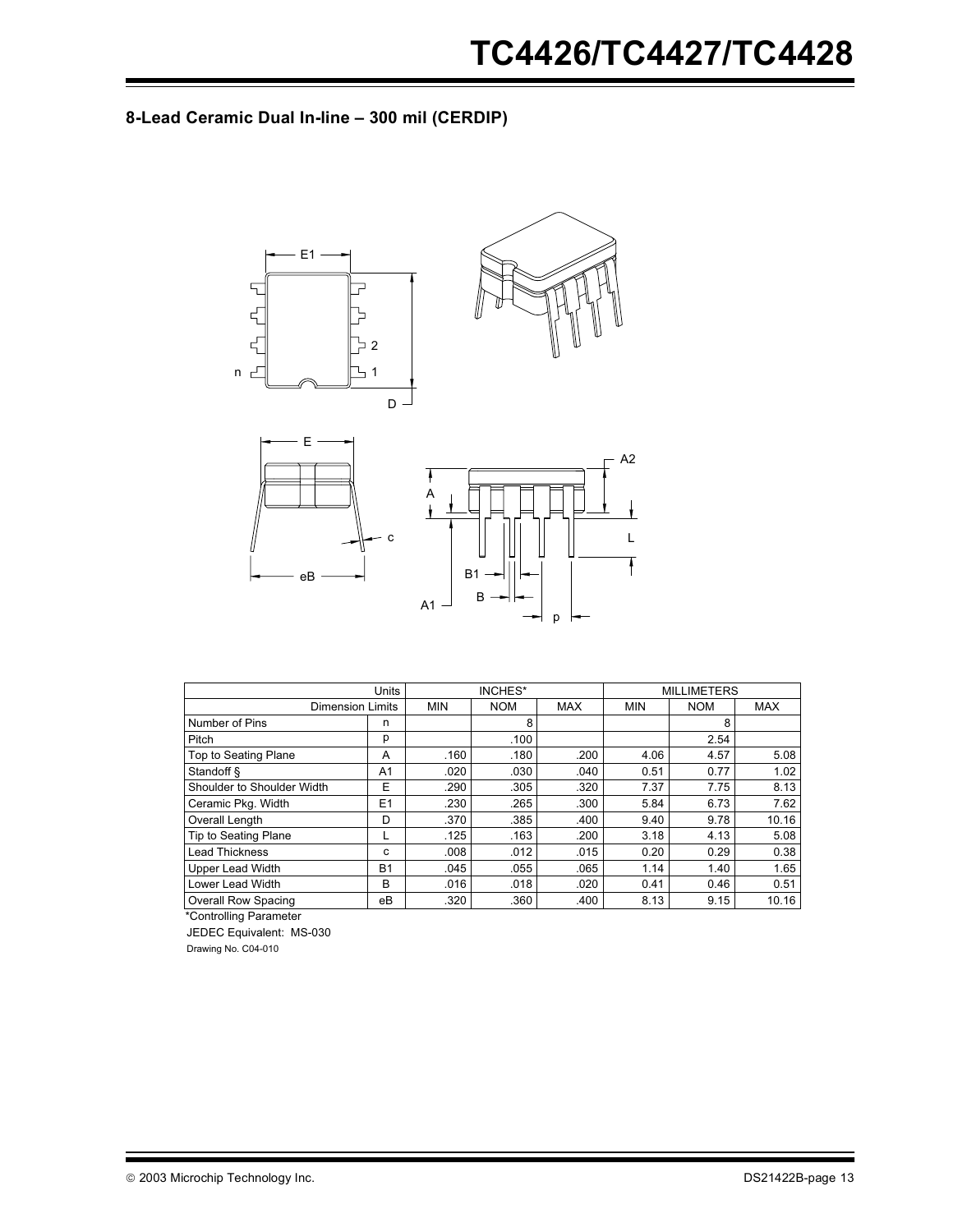## **8-Lead Ceramic Dual In-line – 300 mil (CERDIP)**



|                             | Units          | INCHES*    |            |            |            | <b>MILLIMETERS</b> |            |
|-----------------------------|----------------|------------|------------|------------|------------|--------------------|------------|
| <b>Dimension Limits</b>     |                | <b>MIN</b> | <b>NOM</b> | <b>MAX</b> | <b>MIN</b> | <b>NOM</b>         | <b>MAX</b> |
| Number of Pins              | n              |            | 8          |            |            | 8                  |            |
| Pitch                       | p              |            | .100       |            |            | 2.54               |            |
| <b>Top to Seating Plane</b> | A              | .160       | .180       | .200       | 4.06       | 4.57               | 5.08       |
| Standoff &                  | A <sub>1</sub> | .020       | .030       | .040       | 0.51       | 0.77               | 1.02       |
| Shoulder to Shoulder Width  | E              | .290       | .305       | .320       | 7.37       | 7.75               | 8.13       |
| Ceramic Pkg. Width          | E1             | .230       | .265       | .300       | 5.84       | 6.73               | 7.62       |
| Overall Length              | D              | .370       | .385       | .400       | 9.40       | 9.78               | 10.16      |
| Tip to Seating Plane        | L              | .125       | .163       | .200       | 3.18       | 4.13               | 5.08       |
| <b>Lead Thickness</b>       | c              | .008       | .012       | .015       | 0.20       | 0.29               | 0.38       |
| <b>Upper Lead Width</b>     | <b>B1</b>      | .045       | .055       | .065       | 1.14       | 1.40               | 1.65       |
| Lower Lead Width            | В              | .016       | .018       | .020       | 0.41       | 0.46               | 0.51       |
| <b>Overall Row Spacing</b>  | eB             | .320       | .360       | .400       | 8.13       | 9.15               | 10.16      |

\*Controlling Parameter

JEDEC Equivalent: MS-030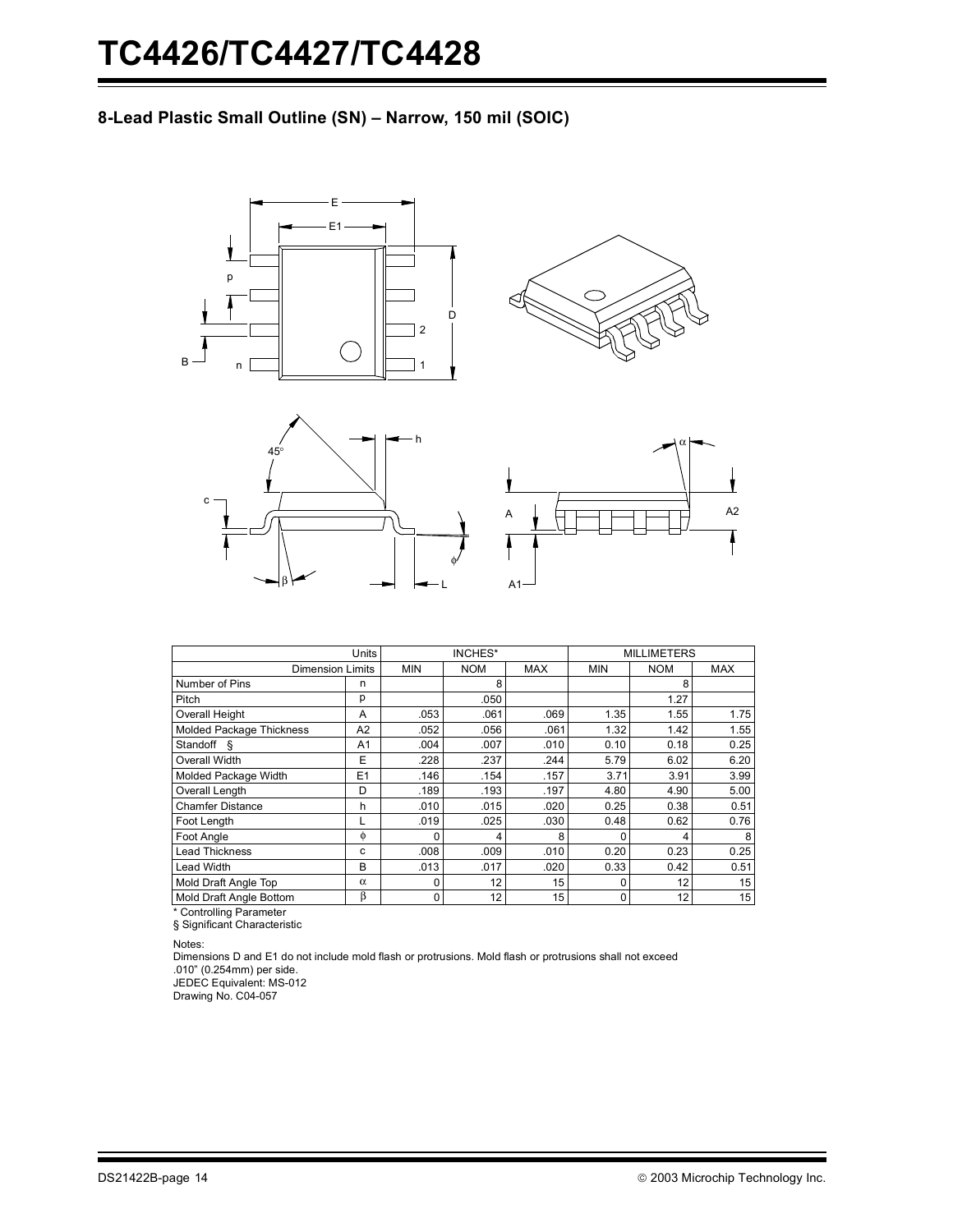## **8-Lead Plastic Small Outline (SN) – Narrow, 150 mil (SOIC)**









|                          | <b>Units</b>   | INCHES*    |            |                 |            | <b>MILLIMETERS</b> |            |
|--------------------------|----------------|------------|------------|-----------------|------------|--------------------|------------|
| <b>Dimension Limits</b>  |                | <b>MIN</b> | <b>NOM</b> | <b>MAX</b>      | <b>MIN</b> | <b>NOM</b>         | <b>MAX</b> |
| Number of Pins           | n              |            | 8          |                 |            | 8                  |            |
| Pitch                    | р              |            | .050       |                 |            | 1.27               |            |
| Overall Height           | A              | .053       | .061       | .069            | 1.35       | 1.55               | 1.75       |
| Molded Package Thickness | A2             | .052       | .056       | .061            | 1.32       | 1.42               | 1.55       |
| Standoff §               | A1             | .004       | .007       | .010            | 0.10       | 0.18               | 0.25       |
| Overall Width            | E              | .228       | .237       | .244            | 5.79       | 6.02               | 6.20       |
| Molded Package Width     | E <sub>1</sub> | .146       | .154       | .157            | 3.71       | 3.91               | 3.99       |
| Overall Length           | D              | .189       | .193       | .197            | 4.80       | 4.90               | 5.00       |
| <b>Chamfer Distance</b>  | h              | .010       | .015       | .020            | 0.25       | 0.38               | 0.51       |
| Foot Length              |                | .019       | .025       | .030            | 0.48       | 0.62               | 0.76       |
| Foot Angle               | $\phi$         | 0          | 4          | 8               | 0          | 4                  | 8          |
| <b>Lead Thickness</b>    | с              | .008       | .009       | .010            | 0.20       | 0.23               | 0.25       |
| <b>Lead Width</b>        | B              | .013       | .017       | .020            | 0.33       | 0.42               | 0.51       |
| Mold Draft Angle Top     | $\alpha$       | 0          | 12         | 15              | 0          | 12                 | 15         |
| Mold Draft Angle Bottom  | β              | 0          | 12         | 15 <sup>1</sup> | 0          | 12                 | 15         |

\* Controlling Parameter

§ Significant Characteristic

Notes:

Dimensions D and E1 do not include mold flash or protrusions. Mold flash or protrusions shall not exceed .010" (0.254mm) per side. JEDEC Equivalent: MS-012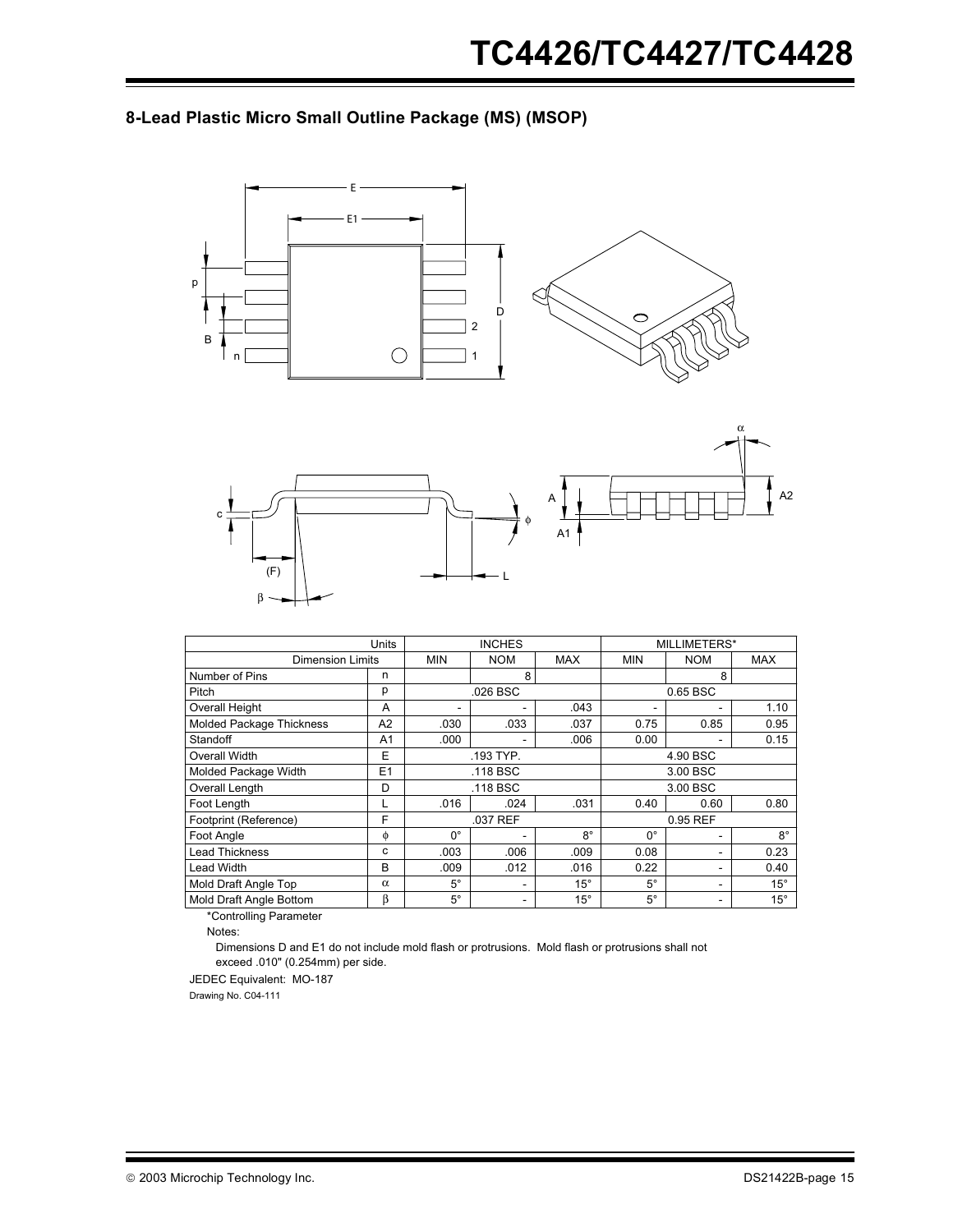## **8-Lead Plastic Micro Small Outline Package (MS) (MSOP)**





|                                 | Units          | <b>INCHES</b> |            |              |             | MILLIMETERS* |              |
|---------------------------------|----------------|---------------|------------|--------------|-------------|--------------|--------------|
| <b>Dimension Limits</b>         |                | <b>MIN</b>    | <b>NOM</b> | <b>MAX</b>   | <b>MIN</b>  | <b>NOM</b>   | <b>MAX</b>   |
| Number of Pins                  | n              |               | 8          |              |             | 8            |              |
| Pitch                           | р              |               | .026 BSC   |              |             | 0.65 BSC     |              |
| Overall Height                  | A              |               |            | .043         |             |              | 1.10         |
| <b>Molded Package Thickness</b> | A <sub>2</sub> | .030          | .033       | .037         | 0.75        | 0.85         | 0.95         |
| Standoff                        | A <sub>1</sub> | .000          |            | .006         | 0.00        |              | 0.15         |
| Overall Width                   | E              |               | .193 TYP.  |              | 4.90 BSC    |              |              |
| Molded Package Width            | E1             |               | .118 BSC   |              | 3.00 BSC    |              |              |
| Overall Length                  | D              |               | .118 BSC   |              | 3.00 BSC    |              |              |
| Foot Length                     |                | .016          | .024       | .031         | 0.40        | 0.60         | 0.80         |
| Footprint (Reference)           | F              | .037 REF      |            | 0.95 REF     |             |              |              |
| Foot Angle                      | φ              | $0^{\circ}$   | ۰          | 8°           | 0°          | -            | $8^{\circ}$  |
| <b>Lead Thickness</b>           | с              | .003          | .006       | .009         | 0.08        |              | 0.23         |
| Lead Width                      | в              | .009          | .012       | .016         | 0.22        |              | 0.40         |
| Mold Draft Angle Top            | $\alpha$       | $5^\circ$     | ۰          | $15^{\circ}$ | $5^\circ$   | -            | $15^{\circ}$ |
| Mold Draft Angle Bottom         | β              | $5^\circ$     | ۰          | $15^{\circ}$ | $5^{\circ}$ | ٠            | $15^{\circ}$ |

\*Controlling Parameter

Notes:

Dimensions D and E1 do not include mold flash or protrusions. Mold flash or protrusions shall not exceed .010" (0.254mm) per side.

JEDEC Equivalent: MO-187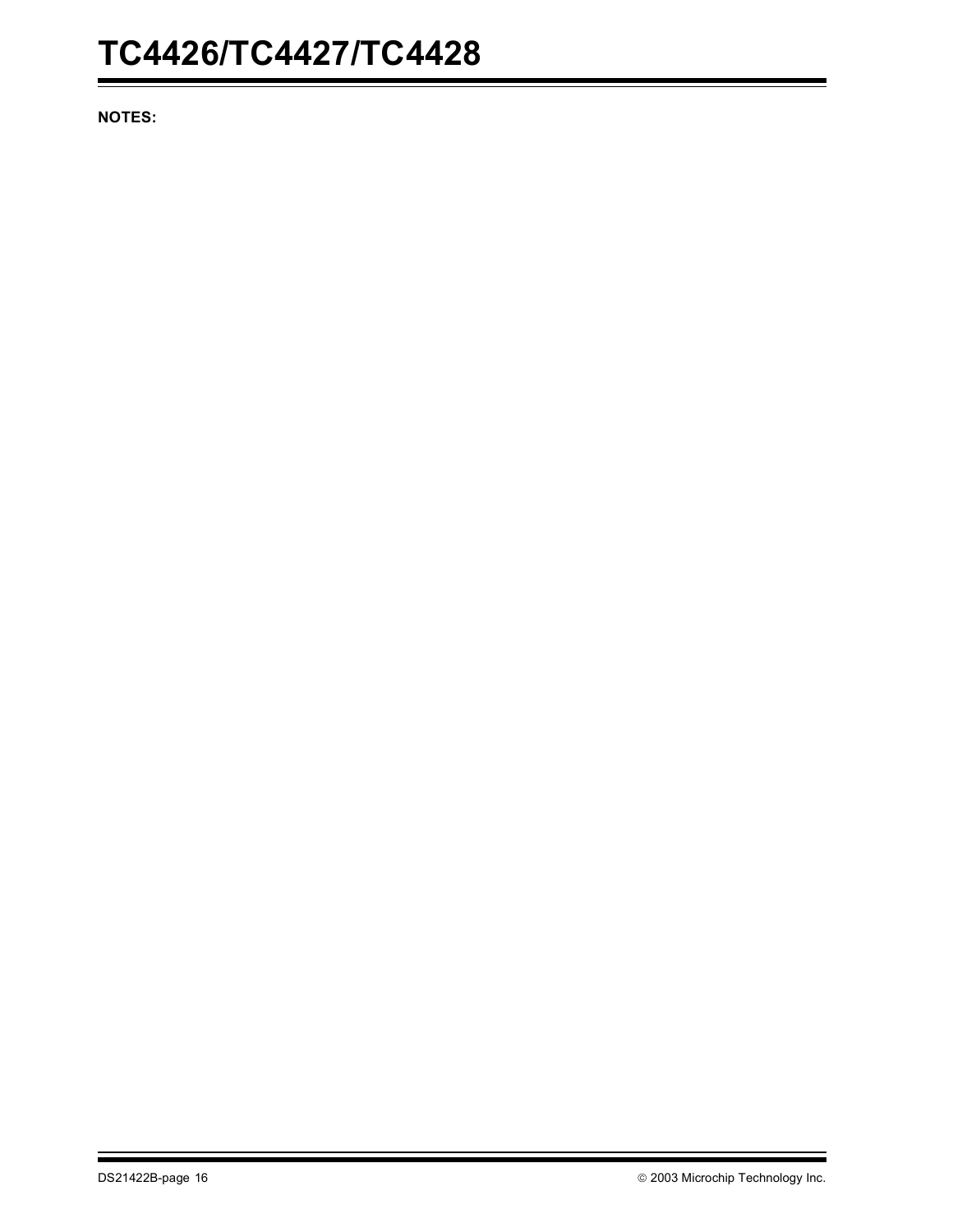**NOTES:**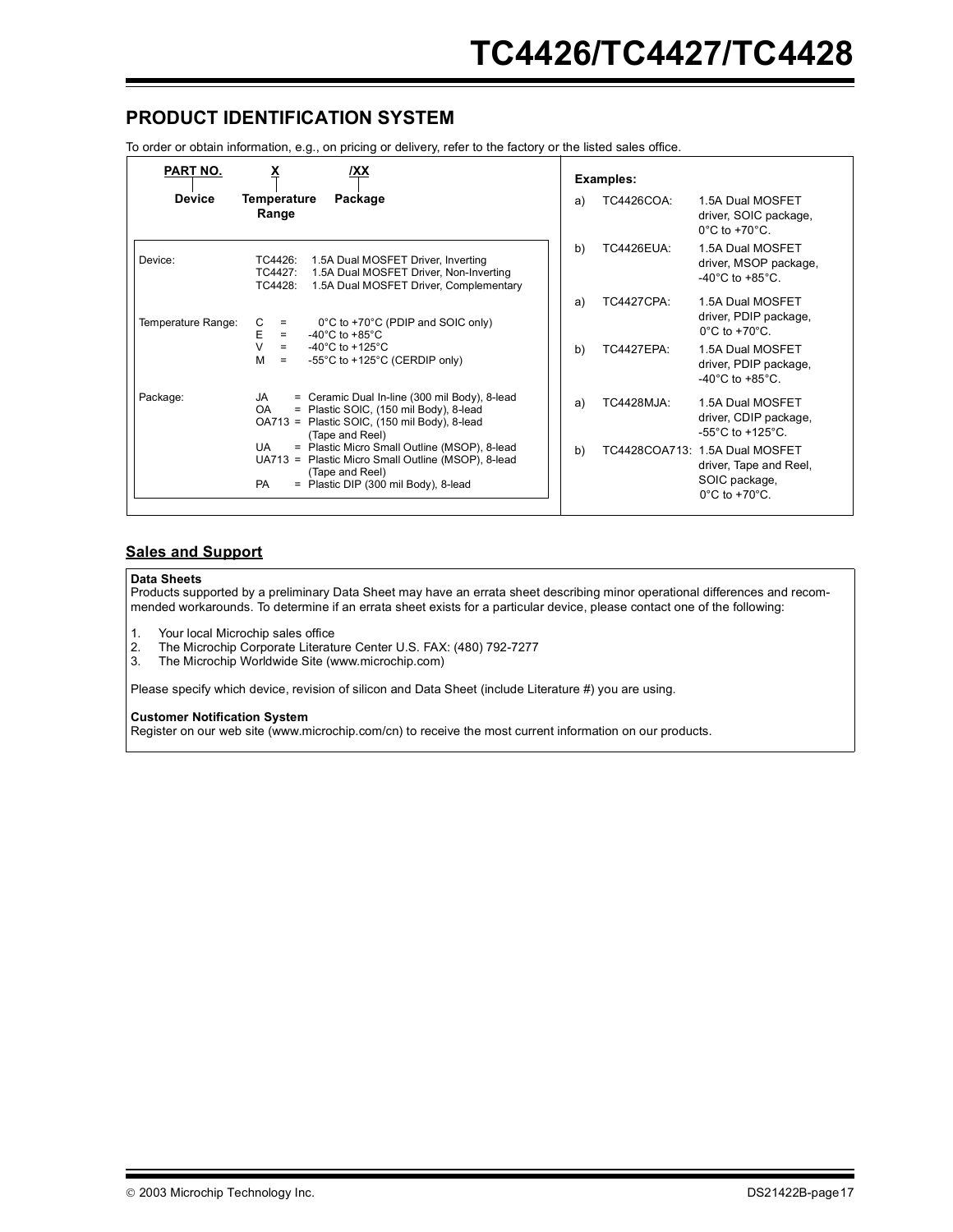## **PRODUCT IDENTIFICATION SYSTEM**

To order or obtain information, e.g., on pricing or delivery, refer to the factory or the listed sales office.

| PART NO.           | х<br>IXX                                                                                                                                                                  | Examples:                                                                                                             |
|--------------------|---------------------------------------------------------------------------------------------------------------------------------------------------------------------------|-----------------------------------------------------------------------------------------------------------------------|
| <b>Device</b>      | Temperature<br>Package<br>Range                                                                                                                                           | TC4426COA:<br>1.5A Dual MOSFET<br>a)<br>driver, SOIC package,<br>$0^{\circ}$ C to +70 $^{\circ}$ C.                   |
| Device:            | TC4426:<br>1.5A Dual MOSFET Driver, Inverting<br>1.5A Dual MOSFET Driver, Non-Inverting<br>TC4427:<br>1.5A Dual MOSFET Driver, Complementary<br>TC4428:                   | <b>TC4426EUA:</b><br>1.5A Dual MOSFET<br>b)<br>driver, MSOP package,<br>$-40^{\circ}$ C to $+85^{\circ}$ C.           |
| Temperature Range: | С<br>0°C to +70°C (PDIP and SOIC only)<br>$=$<br>Ε<br>-40 $^{\circ}$ C to +85 $^{\circ}$ C<br>$=$                                                                         | <b>TC4427CPA:</b><br>1.5A Dual MOSFET<br>a)<br>driver, PDIP package,<br>$0^{\circ}$ C to +70 $^{\circ}$ C.            |
|                    | $\vee$<br>-40 $^{\circ}$ C to +125 $^{\circ}$ C<br>$=$<br>м<br>-55°C to +125°C (CERDIP only)<br>$\equiv$                                                                  | b)<br><b>TC4427EPA:</b><br>1.5A Dual MOSFET<br>driver, PDIP package,<br>$-40^{\circ}$ C to $+85^{\circ}$ C.           |
| Package:           | = Ceramic Dual In-line (300 mil Body), 8-lead<br>JA<br>OA.<br>= Plastic SOIC, (150 mil Body), 8-lead<br>OA713 = Plastic SOIC, (150 mil Body), 8-lead<br>(Tape and Reel)   | <b>TC4428MJA:</b><br>1.5A Dual MOSFET<br>a)<br>driver, CDIP package,<br>$-55^{\circ}$ C to $+125^{\circ}$ C.          |
|                    | UA<br>= Plastic Micro Small Outline (MSOP), 8-lead<br>UA713 = Plastic Micro Small Outline (MSOP), 8-lead<br>(Tape and Reel)<br>PA<br>= Plastic DIP (300 mil Body), 8-lead | b)<br>TC4428COA713: 1.5A Dual MOSFET<br>driver, Tape and Reel,<br>SOIC package,<br>$0^{\circ}$ C to +70 $^{\circ}$ C. |

### **Sales and Support**

#### **Data Sheets**

Products supported by a preliminary Data Sheet may have an errata sheet describing minor operational differences and recommended workarounds. To determine if an errata sheet exists for a particular device, please contact one of the following:

1. Your local Microchip sales office

- 2. The Microchip Corporate Literature Center U.S. FAX: (480) 792-7277
- 3. The Microchip Worldwide Site (www.microchip.com)

Please specify which device, revision of silicon and Data Sheet (include Literature #) you are using.

**Customer Notification System**

Register on our web site (www.microchip.com/cn) to receive the most current information on our products.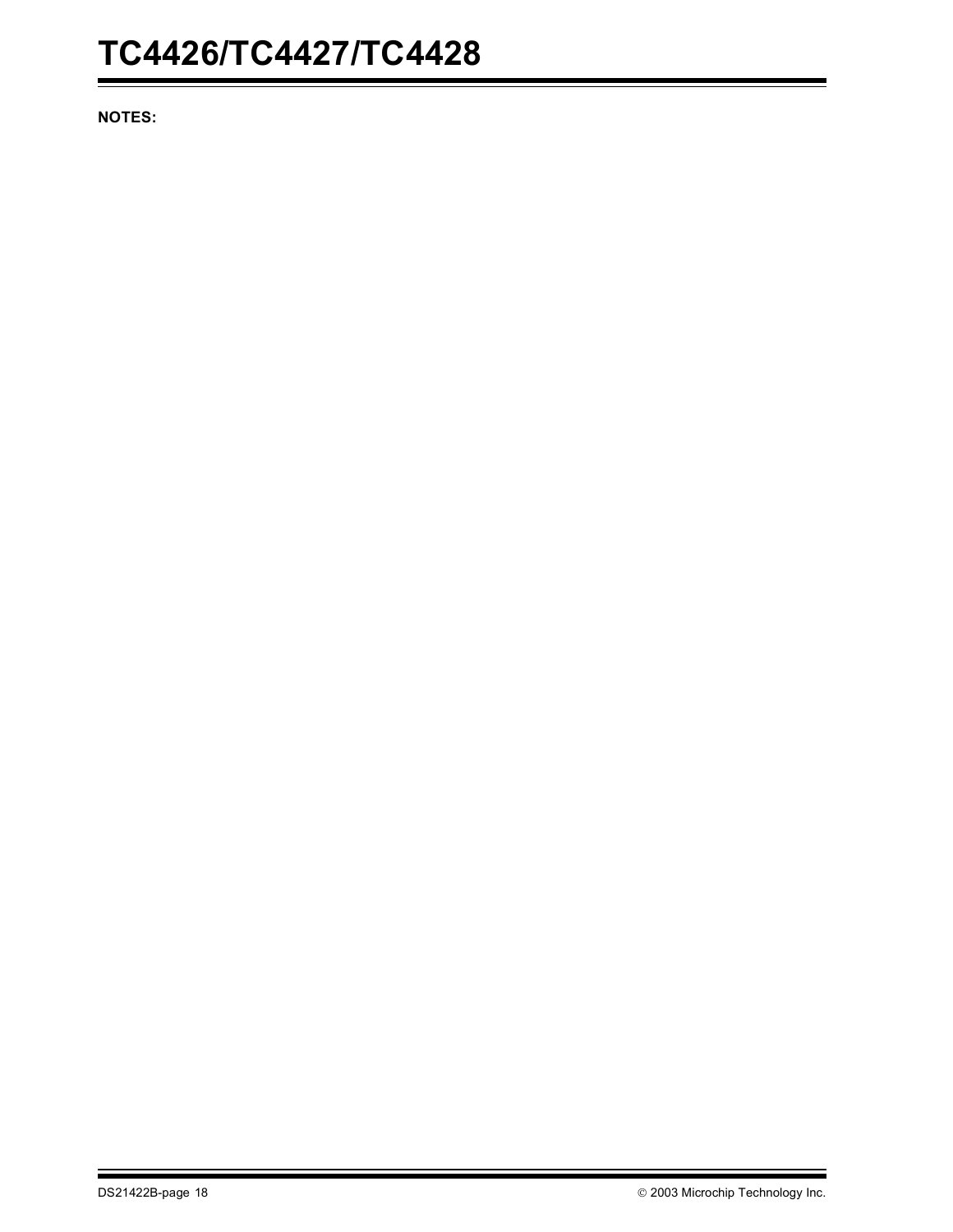**NOTES:**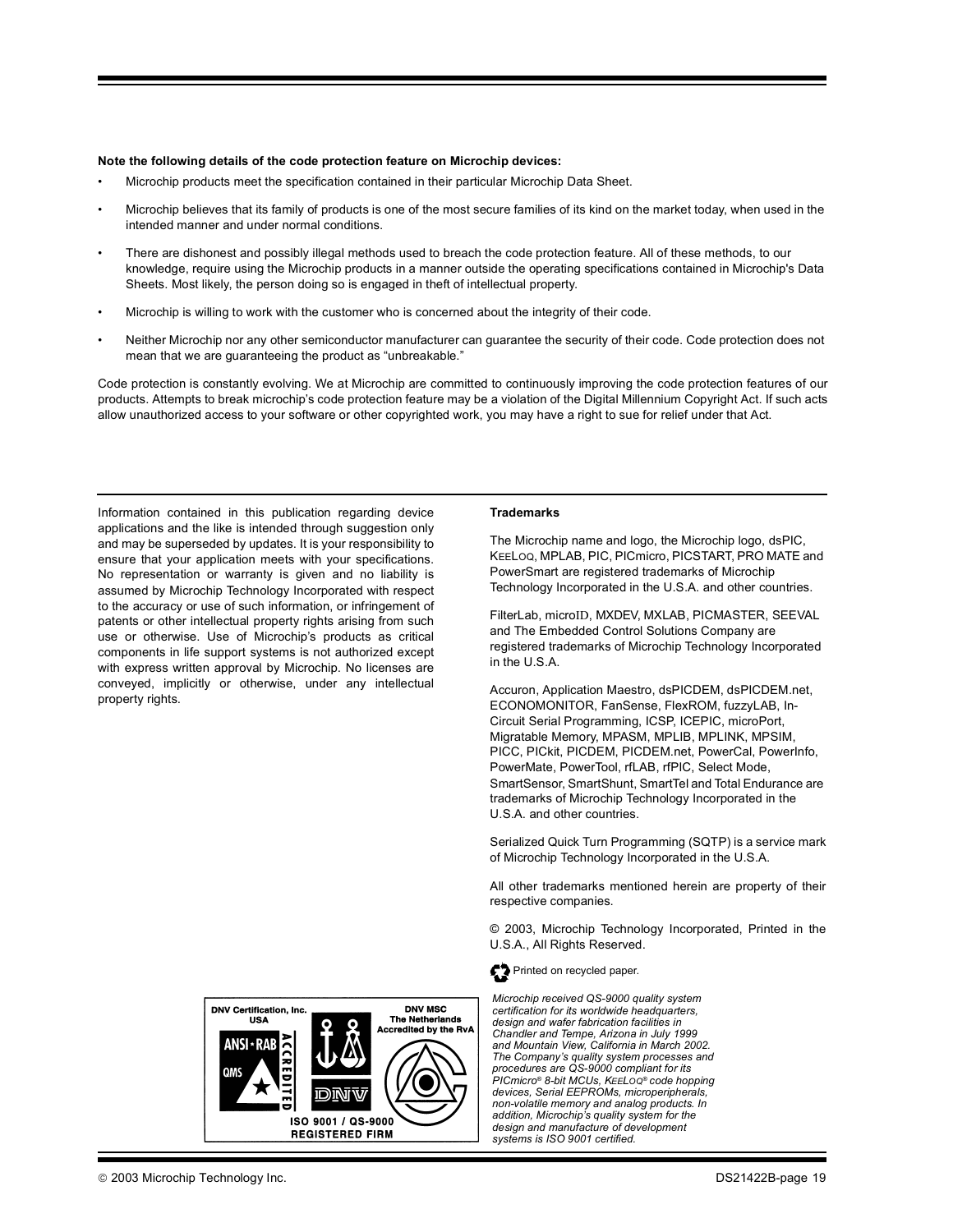#### **Note the following details of the code protection feature on Microchip devices:**

- Microchip products meet the specification contained in their particular Microchip Data Sheet.
- Microchip believes that its family of products is one of the most secure families of its kind on the market today, when used in the intended manner and under normal conditions.
- There are dishonest and possibly illegal methods used to breach the code protection feature. All of these methods, to our knowledge, require using the Microchip products in a manner outside the operating specifications contained in Microchip's Data Sheets. Most likely, the person doing so is engaged in theft of intellectual property.
- Microchip is willing to work with the customer who is concerned about the integrity of their code.
- Neither Microchip nor any other semiconductor manufacturer can guarantee the security of their code. Code protection does not mean that we are guaranteeing the product as "unbreakable."

Code protection is constantly evolving. We at Microchip are committed to continuously improving the code protection features of our products. Attempts to break microchip's code protection feature may be a violation of the Digital Millennium Copyright Act. If such acts allow unauthorized access to your software or other copyrighted work, you may have a right to sue for relief under that Act.

Information contained in this publication regarding device applications and the like is intended through suggestion only and may be superseded by updates. It is your responsibility to ensure that your application meets with your specifications. No representation or warranty is given and no liability is assumed by Microchip Technology Incorporated with respect to the accuracy or use of such information, or infringement of patents or other intellectual property rights arising from such use or otherwise. Use of Microchip's products as critical components in life support systems is not authorized except with express written approval by Microchip. No licenses are conveyed, implicitly or otherwise, under any intellectual property rights.

#### **Trademarks**

The Microchip name and logo, the Microchip logo, dsPIC, KEELOQ, MPLAB, PIC, PICmicro, PICSTART, PRO MATE and PowerSmart are registered trademarks of Microchip Technology Incorporated in the U.S.A. and other countries.

FilterLab, microID, MXDEV, MXLAB, PICMASTER, SEEVAL and The Embedded Control Solutions Company are registered trademarks of Microchip Technology Incorporated in the U.S.A.

Accuron, Application Maestro, dsPICDEM, dsPICDEM.net, ECONOMONITOR, FanSense, FlexROM, fuzzyLAB, In-Circuit Serial Programming, ICSP, ICEPIC, microPort, Migratable Memory, MPASM, MPLIB, MPLINK, MPSIM, PICC, PICkit, PICDEM, PICDEM.net, PowerCal, PowerInfo, PowerMate, PowerTool, rfLAB, rfPIC, Select Mode, SmartSensor, SmartShunt, SmartTel and Total Endurance are trademarks of Microchip Technology Incorporated in the U.S.A. and other countries.

Serialized Quick Turn Programming (SQTP) is a service mark of Microchip Technology Incorporated in the U.S.A.

All other trademarks mentioned herein are property of their respective companies.

© 2003, Microchip Technology Incorporated, Printed in the U.S.A., All Rights Reserved.



*Microchip received QS-9000 quality system certification for its worldwide headquarters, design and wafer fabrication facilities in Chandler and Tempe, Arizona in July 1999 and Mountain View, California in March 2002. The Company's quality system processes and procedures are QS-9000 compliant for its PICmicro® 8-bit MCUs, KEELOQ® code hopping devices, Serial EEPROMs, microperipherals, non-volatile memory and analog products. In addition, Microchip's quality system for the design and manufacture of development systems is ISO 9001 certified.*